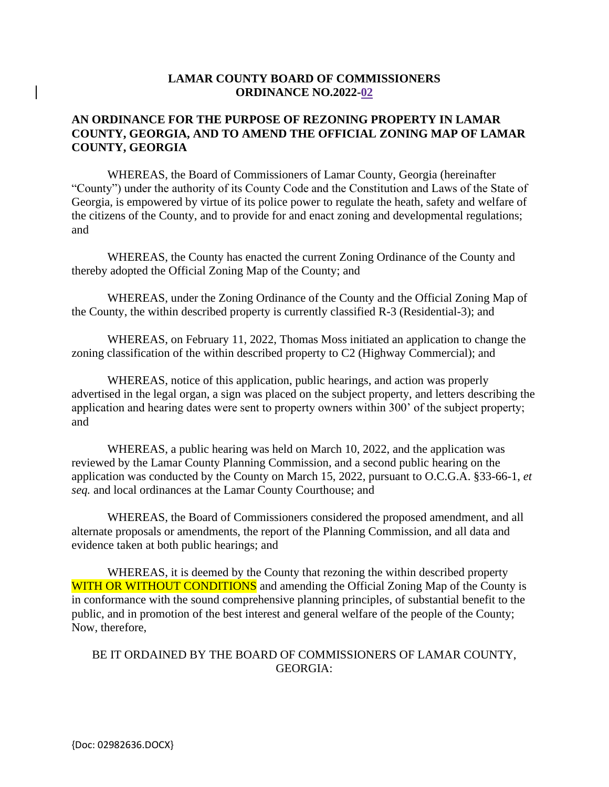### **LAMAR COUNTY BOARD OF COMMISSIONERS ORDINANCE NO.2022-02**

## **AN ORDINANCE FOR THE PURPOSE OF REZONING PROPERTY IN LAMAR COUNTY, GEORGIA, AND TO AMEND THE OFFICIAL ZONING MAP OF LAMAR COUNTY, GEORGIA**

WHEREAS, the Board of Commissioners of Lamar County, Georgia (hereinafter "County") under the authority of its County Code and the Constitution and Laws of the State of Georgia, is empowered by virtue of its police power to regulate the heath, safety and welfare of the citizens of the County, and to provide for and enact zoning and developmental regulations; and

WHEREAS, the County has enacted the current Zoning Ordinance of the County and thereby adopted the Official Zoning Map of the County; and

WHEREAS, under the Zoning Ordinance of the County and the Official Zoning Map of the County, the within described property is currently classified R-3 (Residential-3); and

WHEREAS, on February 11, 2022, Thomas Moss initiated an application to change the zoning classification of the within described property to C2 (Highway Commercial); and

WHEREAS, notice of this application, public hearings, and action was properly advertised in the legal organ, a sign was placed on the subject property, and letters describing the application and hearing dates were sent to property owners within 300' of the subject property; and

WHEREAS, a public hearing was held on March 10, 2022, and the application was reviewed by the Lamar County Planning Commission, and a second public hearing on the application was conducted by the County on March 15, 2022, pursuant to O.C.G.A. §33-66-1, *et seq.* and local ordinances at the Lamar County Courthouse; and

WHEREAS, the Board of Commissioners considered the proposed amendment, and all alternate proposals or amendments, the report of the Planning Commission, and all data and evidence taken at both public hearings; and

WHEREAS, it is deemed by the County that rezoning the within described property WITH OR WITHOUT CONDITIONS and amending the Official Zoning Map of the County is in conformance with the sound comprehensive planning principles, of substantial benefit to the public, and in promotion of the best interest and general welfare of the people of the County; Now, therefore,

#### BE IT ORDAINED BY THE BOARD OF COMMISSIONERS OF LAMAR COUNTY, GEORGIA: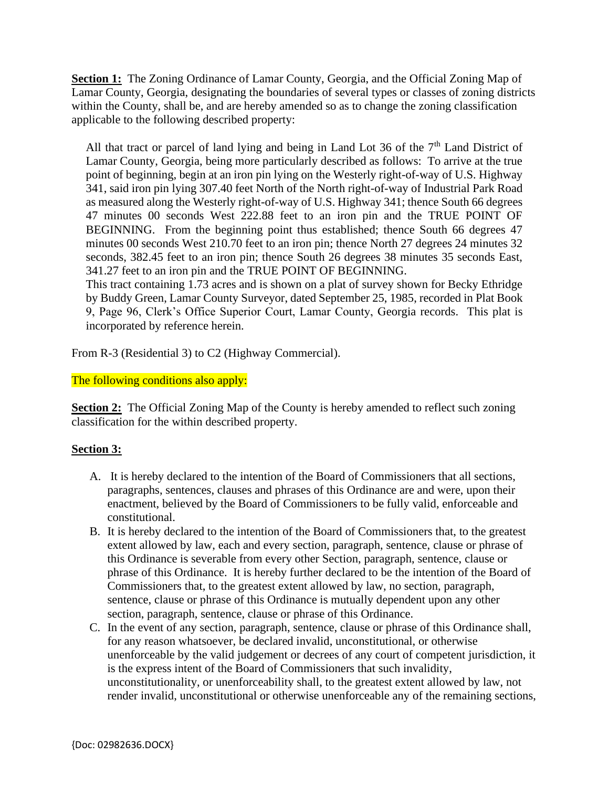**Section 1:** The Zoning Ordinance of Lamar County, Georgia, and the Official Zoning Map of Lamar County, Georgia, designating the boundaries of several types or classes of zoning districts within the County, shall be, and are hereby amended so as to change the zoning classification applicable to the following described property:

All that tract or parcel of land lying and being in Land Lot 36 of the 7<sup>th</sup> Land District of Lamar County, Georgia, being more particularly described as follows: To arrive at the true point of beginning, begin at an iron pin lying on the Westerly right-of-way of U.S. Highway 341, said iron pin lying 307.40 feet North of the North right-of-way of Industrial Park Road as measured along the Westerly right-of-way of U.S. Highway 341; thence South 66 degrees 47 minutes 00 seconds West 222.88 feet to an iron pin and the TRUE POINT OF BEGINNING. From the beginning point thus established; thence South 66 degrees 47 minutes 00 seconds West 210.70 feet to an iron pin; thence North 27 degrees 24 minutes 32 seconds, 382.45 feet to an iron pin; thence South 26 degrees 38 minutes 35 seconds East, 341.27 feet to an iron pin and the TRUE POINT OF BEGINNING.

This tract containing 1.73 acres and is shown on a plat of survey shown for Becky Ethridge by Buddy Green, Lamar County Surveyor, dated September 25, 1985, recorded in Plat Book 9, Page 96, Clerk's Office Superior Court, Lamar County, Georgia records. This plat is incorporated by reference herein.

From R-3 (Residential 3) to C2 (Highway Commercial).

## The following conditions also apply:

**Section 2:** The Official Zoning Map of the County is hereby amended to reflect such zoning classification for the within described property.

# **Section 3:**

- A. It is hereby declared to the intention of the Board of Commissioners that all sections, paragraphs, sentences, clauses and phrases of this Ordinance are and were, upon their enactment, believed by the Board of Commissioners to be fully valid, enforceable and constitutional.
- B. It is hereby declared to the intention of the Board of Commissioners that, to the greatest extent allowed by law, each and every section, paragraph, sentence, clause or phrase of this Ordinance is severable from every other Section, paragraph, sentence, clause or phrase of this Ordinance. It is hereby further declared to be the intention of the Board of Commissioners that, to the greatest extent allowed by law, no section, paragraph, sentence, clause or phrase of this Ordinance is mutually dependent upon any other section, paragraph, sentence, clause or phrase of this Ordinance.
- C. In the event of any section, paragraph, sentence, clause or phrase of this Ordinance shall, for any reason whatsoever, be declared invalid, unconstitutional, or otherwise unenforceable by the valid judgement or decrees of any court of competent jurisdiction, it is the express intent of the Board of Commissioners that such invalidity, unconstitutionality, or unenforceability shall, to the greatest extent allowed by law, not render invalid, unconstitutional or otherwise unenforceable any of the remaining sections,